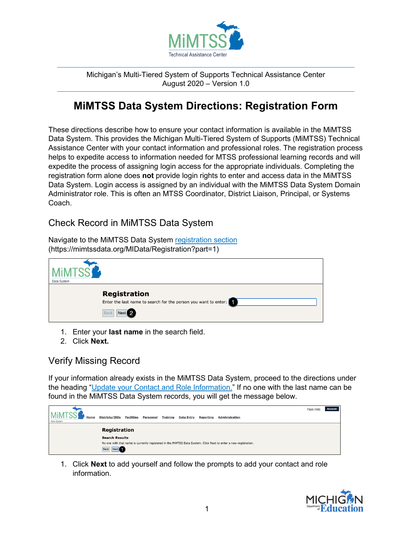

Michigan's Multi-Tiered System of Supports Technical Assistance Center August 2020 – Version 1.0

# **MiMTSS Data System Directions: Registration Form**

These directions describe how to ensure your contact information is available in the MiMTSS Data System. This provides the Michigan Multi-Tiered System of Supports (MiMTSS) Technical Assistance Center with your contact information and professional roles. The registration process helps to expedite access to information needed for MTSS professional learning records and will expedite the process of assigning login access for the appropriate individuals. Completing the registration form alone does **not** provide login rights to enter and access data in the MiMTSS Data System. Login access is assigned by an individual with the MiMTSS Data System Domain Administrator role. This is often an MTSS Coordinator, District Liaison, Principal, or Systems Coach.

### Check Record in MiMTSS Data System

Navigate to the MiMTSS Data System [registration section](https://mimtssdata.org/MIData/registration?part=1) (https://mimtssdata.org/MIData/Registration?part=1)



- 1. Enter your **last name** in the search field.
- 2. Click **Next.**

### Verify Missing Record

If your information already exists in the MiMTSS Data System, proceed to the directions under the heading ["Update your Contact and Role Information.](#page-3-0)" If no one with the last name can be found in the MiMTSS Data System records, you will get the message below.

|                                    |                       |                   |                  |                 |                   |                  |                                                                                                                  | Page Help | <b>Account</b> |
|------------------------------------|-----------------------|-------------------|------------------|-----------------|-------------------|------------------|------------------------------------------------------------------------------------------------------------------|-----------|----------------|
| <b>MiMT</b><br>Home<br>Data System | Districts/ISDs        | <b>Facilities</b> | <b>Personnel</b> | <b>Training</b> | <b>Data Entry</b> | <b>Reporting</b> | <b>Administration</b>                                                                                            |           |                |
|                                    |                       |                   |                  |                 |                   |                  |                                                                                                                  |           |                |
|                                    | <b>Registration</b>   |                   |                  |                 |                   |                  |                                                                                                                  |           |                |
|                                    | <b>Search Results</b> |                   |                  |                 |                   |                  |                                                                                                                  |           |                |
|                                    |                       |                   |                  |                 |                   |                  | No one with that name is currently registered in the MiMTSS Data System. Click Next to enter a new registration. |           |                |
|                                    | Back Next             |                   |                  |                 |                   |                  |                                                                                                                  |           |                |

1. Click **Next** to add yourself and follow the prompts to add your contact and role information.

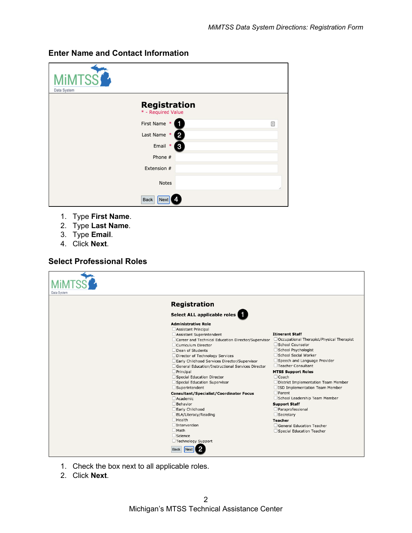| <b>MIMTSS</b><br>Data System |                                           |   |
|------------------------------|-------------------------------------------|---|
|                              | <b>Registration</b><br>* - Required Value |   |
|                              | First Name *                              | 固 |
|                              | Last Name *<br>2                          |   |
|                              | Email *<br>3                              |   |
|                              | Phone #                                   |   |
|                              | Extension #                               |   |
|                              | <b>Notes</b>                              | í |
|                              | <b>Back</b><br><b>Next</b>                |   |

#### **Enter Name and Contact Information**

- 1. Type **First Name**.
- 2. Type **Last Name**.
- 3. Type **Email**.
- 4. Click **Next**.

#### **Select Professional Roles**

| Data System |                                                                                                                                                                                                                                                                                                                                                                                                                                                                                                                                                                                                                                                                                            |                                                                                                                                                                                                                                                                                                                                                                                                                                                                                                                    |
|-------------|--------------------------------------------------------------------------------------------------------------------------------------------------------------------------------------------------------------------------------------------------------------------------------------------------------------------------------------------------------------------------------------------------------------------------------------------------------------------------------------------------------------------------------------------------------------------------------------------------------------------------------------------------------------------------------------------|--------------------------------------------------------------------------------------------------------------------------------------------------------------------------------------------------------------------------------------------------------------------------------------------------------------------------------------------------------------------------------------------------------------------------------------------------------------------------------------------------------------------|
|             | <b>Registration</b>                                                                                                                                                                                                                                                                                                                                                                                                                                                                                                                                                                                                                                                                        |                                                                                                                                                                                                                                                                                                                                                                                                                                                                                                                    |
|             | Select ALL applicable roles                                                                                                                                                                                                                                                                                                                                                                                                                                                                                                                                                                                                                                                                |                                                                                                                                                                                                                                                                                                                                                                                                                                                                                                                    |
|             | <b>Administrative Role</b><br>Assistant Principal<br>Assistant Superintendent<br>Career and Technical Education Director/Supervisor<br>Curriculum Director<br>Dean of Students<br>Director of Technology Services<br>Early Childhood Services Director/Supervisor<br>General Education/Instructional Services Director<br>$\Box$ Principal<br>Special Education Director<br>Special Education Supervisor<br>$\Box$ Superintendent<br><b>Consultant/Specialist/Coordinator Focus</b><br>$\Box$ Academic<br>$\Box$ Behavior<br>Early Childhood<br>ELA/Literacy/Reading<br>$\Box$ Health<br>$\Box$ Intervention<br>$\Box$ Math<br>Science<br>Technology Support<br><b>Back</b><br><b>Next</b> | <b>Itinerant Staff</b><br>Occupational Therapist/Physical Therapist<br>School Counselor<br>School Psychologist<br>School Social Worker<br>Speech and Language Provider<br>□Teacher Consultant<br><b>MTSS Support Roles</b><br>$\Box$ Coach<br>District Implementation Team Member<br>□ISD Implementation Team Member<br>$\Box$ Parent<br>School Leadership Team Member<br><b>Support Staff</b><br>Paraprofessional<br>$\Box$ Secretary<br><b>Teacher</b><br>General Education Teacher<br>Special Education Teacher |

- 1. Check the box next to all applicable roles.
- 2. Click **Next**.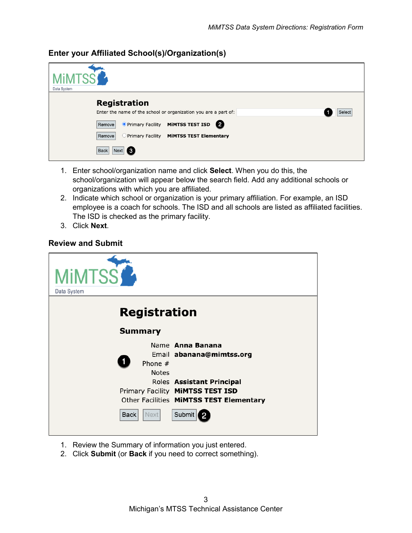Data System **Registration** Enter the name of the school or organization you are a part of: Select Remove O Primary Facility MIMTSS TEST ISD 2 Remove O Primary Facility MIMTSS TEST Elementary Back Next 6

#### **Enter your Affiliated School(s)/Organization(s)**

- 1. Enter school/organization name and click **Select**. When you do this, the school/organization will appear below the search field. Add any additional schools or organizations with which you are affiliated.
- 2. Indicate which school or organization is your primary affiliation. For example, an ISD employee is a coach for schools. The ISD and all schools are listed as affiliated facilities. The ISD is checked as the primary facility.
- 3. Click **Next**.

#### **Review and Submit**

| <b>MIMTSS</b><br>Data System |                                                                                                          |
|------------------------------|----------------------------------------------------------------------------------------------------------|
| <b>Registration</b>          |                                                                                                          |
| <b>Summary</b>               |                                                                                                          |
| Phone $#$<br><b>Notes</b>    | Name Anna Banana<br>Email abanana@mimtss.org                                                             |
|                              | Roles Assistant Principal<br>Primary Facility MIMTSS TEST ISD<br>Other Facilities MIMTSS TEST Elementary |
| Back<br><b>Next</b>          | Submit                                                                                                   |

- 1. Review the Summary of information you just entered.
- 2. Click **Submit** (or **Back** if you need to correct something).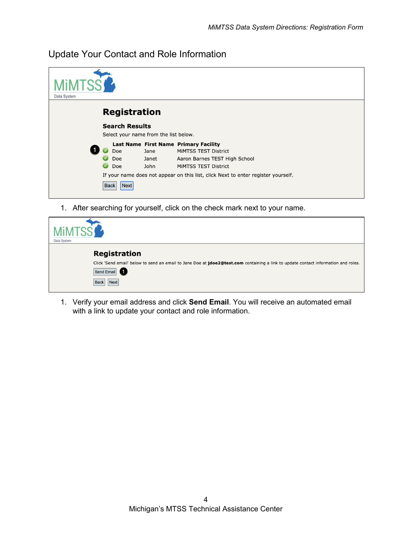<span id="page-3-0"></span>Update Your Contact and Role Information

| Data System         |                                       |                       |                                                                                                                                                                                                             |  |  |
|---------------------|---------------------------------------|-----------------------|-------------------------------------------------------------------------------------------------------------------------------------------------------------------------------------------------------------|--|--|
| <b>Registration</b> |                                       |                       |                                                                                                                                                                                                             |  |  |
|                     | <b>Search Results</b>                 |                       |                                                                                                                                                                                                             |  |  |
|                     | Select your name from the list below. |                       |                                                                                                                                                                                                             |  |  |
|                     | Doe<br>Doe<br>Doe                     | Jane<br>Janet<br>John | Last Name First Name Primary Facility<br>MIMTSS TEST District<br>Aaron Barnes TEST High School<br>MIMTSS TEST District<br>If your name does not appear on this list, click Next to enter register yourself. |  |  |
|                     | Next<br><b>Back</b>                   |                       |                                                                                                                                                                                                             |  |  |

1. After searching for yourself, click on the check mark next to your name.

| <b>MIMTSS</b><br>Data System                                                                                                                                                                   |
|------------------------------------------------------------------------------------------------------------------------------------------------------------------------------------------------|
| <b>Registration</b><br>Click 'Send email' below to send an email to Jane Doe at jdoe2@test.com containing a link to update contact information and roles.<br>Send Email<br><b>Back</b><br>Next |

1. Verify your email address and click **Send Email**. You will receive an automated email with a link to update your contact and role information.